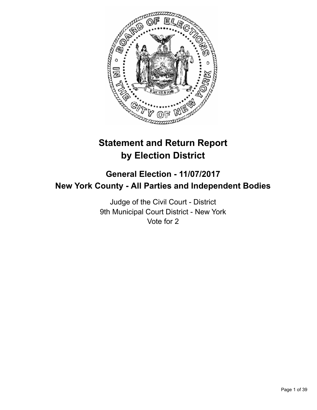

# **Statement and Return Report by Election District**

# **General Election - 11/07/2017 New York County - All Parties and Independent Bodies**

Judge of the Civil Court - District 9th Municipal Court District - New York Vote for 2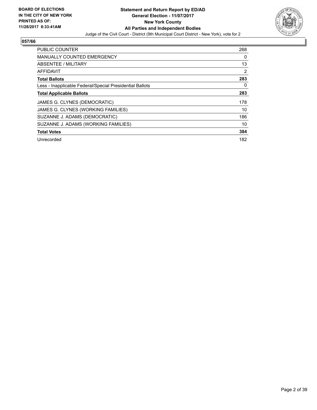

| <b>PUBLIC COUNTER</b>                                    | 268 |
|----------------------------------------------------------|-----|
| <b>MANUALLY COUNTED EMERGENCY</b>                        | 0   |
| ABSENTEE / MILITARY                                      | 13  |
| <b>AFFIDAVIT</b>                                         | 2   |
| <b>Total Ballots</b>                                     | 283 |
| Less - Inapplicable Federal/Special Presidential Ballots | 0   |
| <b>Total Applicable Ballots</b>                          | 283 |
| JAMES G. CLYNES (DEMOCRATIC)                             | 178 |
| JAMES G. CLYNES (WORKING FAMILIES)                       | 10  |
| SUZANNE J. ADAMS (DEMOCRATIC)                            | 186 |
| SUZANNE J. ADAMS (WORKING FAMILIES)                      | 10  |
| <b>Total Votes</b>                                       | 384 |
| Unrecorded                                               | 182 |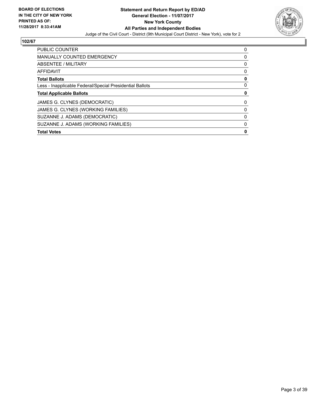

| PUBLIC COUNTER                                           | 0 |
|----------------------------------------------------------|---|
| <b>MANUALLY COUNTED EMERGENCY</b>                        | 0 |
| ABSENTEE / MILITARY                                      | 0 |
| AFFIDAVIT                                                | 0 |
| <b>Total Ballots</b>                                     | 0 |
| Less - Inapplicable Federal/Special Presidential Ballots | 0 |
| <b>Total Applicable Ballots</b>                          | 0 |
| JAMES G. CLYNES (DEMOCRATIC)                             | 0 |
| JAMES G. CLYNES (WORKING FAMILIES)                       | 0 |
| SUZANNE J. ADAMS (DEMOCRATIC)                            | 0 |
| SUZANNE J. ADAMS (WORKING FAMILIES)                      | 0 |
| <b>Total Votes</b>                                       | 0 |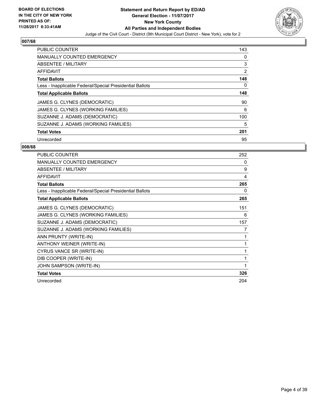

| <b>PUBLIC COUNTER</b>                                    | 143 |
|----------------------------------------------------------|-----|
| <b>MANUALLY COUNTED EMERGENCY</b>                        | 0   |
| ABSENTEE / MILITARY                                      | 3   |
| <b>AFFIDAVIT</b>                                         | 2   |
| <b>Total Ballots</b>                                     | 148 |
| Less - Inapplicable Federal/Special Presidential Ballots | 0   |
| <b>Total Applicable Ballots</b>                          | 148 |
| JAMES G. CLYNES (DEMOCRATIC)                             | 90  |
| JAMES G. CLYNES (WORKING FAMILIES)                       | 6   |
| SUZANNE J. ADAMS (DEMOCRATIC)                            | 100 |
| SUZANNE J. ADAMS (WORKING FAMILIES)                      | 5   |
| <b>Total Votes</b>                                       | 201 |
| Unrecorded                                               | 95  |

| PUBLIC COUNTER                                           | 252 |
|----------------------------------------------------------|-----|
| <b>MANUALLY COUNTED EMERGENCY</b>                        | 0   |
| ABSENTEE / MILITARY                                      | 9   |
| <b>AFFIDAVIT</b>                                         | 4   |
| <b>Total Ballots</b>                                     | 265 |
| Less - Inapplicable Federal/Special Presidential Ballots | 0   |
| <b>Total Applicable Ballots</b>                          | 265 |
| JAMES G. CLYNES (DEMOCRATIC)                             | 151 |
| JAMES G. CLYNES (WORKING FAMILIES)                       | 6   |
| SUZANNE J. ADAMS (DEMOCRATIC)                            | 157 |
| SUZANNE J. ADAMS (WORKING FAMILIES)                      | 7   |
| ANN PRUNTY (WRITE-IN)                                    | 1   |
| ANTHONY WEINER (WRITE-IN)                                | 1   |
| CYRUS VANCE SR (WRITE-IN)                                | 1   |
| DIB COOPER (WRITE-IN)                                    | 1   |
| JOHN SAMPSON (WRITE-IN)                                  | 1   |
| <b>Total Votes</b>                                       | 326 |
| Unrecorded                                               | 204 |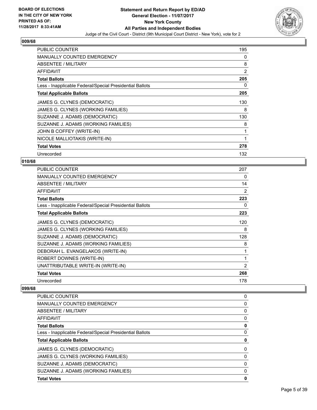

| <b>PUBLIC COUNTER</b>                                    | 195 |
|----------------------------------------------------------|-----|
| <b>MANUALLY COUNTED EMERGENCY</b>                        | 0   |
| ABSENTEE / MILITARY                                      | 8   |
| AFFIDAVIT                                                | 2   |
| <b>Total Ballots</b>                                     | 205 |
| Less - Inapplicable Federal/Special Presidential Ballots | 0   |
| <b>Total Applicable Ballots</b>                          | 205 |
| JAMES G. CLYNES (DEMOCRATIC)                             | 130 |
| JAMES G. CLYNES (WORKING FAMILIES)                       | 8   |
| SUZANNE J. ADAMS (DEMOCRATIC)                            | 130 |
| SUZANNE J. ADAMS (WORKING FAMILIES)                      | 8   |
| JOHN B COFFEY (WRITE-IN)                                 | 1   |
| NICOLE MALLIOTAKIS (WRITE-IN)                            | 1   |
| <b>Total Votes</b>                                       | 278 |
| Unrecorded                                               | 132 |

# **010/68**

| PUBLIC COUNTER                                           | 207            |
|----------------------------------------------------------|----------------|
| <b>MANUALLY COUNTED EMERGENCY</b>                        | 0              |
| ABSENTEE / MILITARY                                      | 14             |
| AFFIDAVIT                                                | 2              |
| <b>Total Ballots</b>                                     | 223            |
| Less - Inapplicable Federal/Special Presidential Ballots | 0              |
| <b>Total Applicable Ballots</b>                          | 223            |
| JAMES G. CLYNES (DEMOCRATIC)                             | 120            |
| JAMES G. CLYNES (WORKING FAMILIES)                       | 8              |
| SUZANNE J. ADAMS (DEMOCRATIC)                            | 128            |
| SUZANNE J. ADAMS (WORKING FAMILIES)                      | 8              |
| DEBORAH L. EVANGELAKOS (WRITE-IN)                        | 1              |
| ROBERT DOWNES (WRITE-IN)                                 | 1              |
| UNATTRIBUTABLE WRITE-IN (WRITE-IN)                       | $\overline{2}$ |
| <b>Total Votes</b>                                       | 268            |
| Unrecorded                                               | 178            |
|                                                          |                |

| <b>PUBLIC COUNTER</b>                                    | 0 |
|----------------------------------------------------------|---|
| <b>MANUALLY COUNTED EMERGENCY</b>                        | 0 |
| ABSENTEE / MILITARY                                      | 0 |
| AFFIDAVIT                                                | 0 |
| <b>Total Ballots</b>                                     | 0 |
| Less - Inapplicable Federal/Special Presidential Ballots | 0 |
|                                                          |   |
| <b>Total Applicable Ballots</b>                          | 0 |
| JAMES G. CLYNES (DEMOCRATIC)                             | 0 |
| JAMES G. CLYNES (WORKING FAMILIES)                       | 0 |
| SUZANNE J. ADAMS (DEMOCRATIC)                            | 0 |
| SUZANNE J. ADAMS (WORKING FAMILIES)                      | 0 |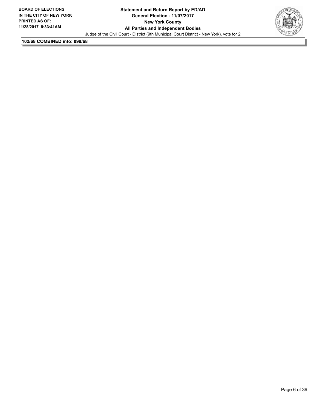

**102/68 COMBINED into: 099/68**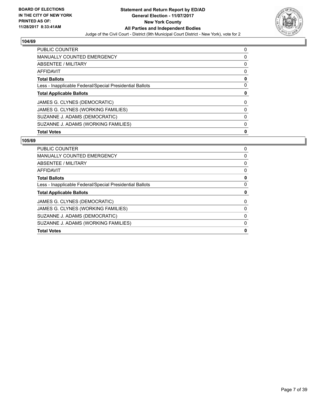

| PUBLIC COUNTER                                           | 0 |
|----------------------------------------------------------|---|
| <b>MANUALLY COUNTED EMERGENCY</b>                        | 0 |
| ABSENTEE / MILITARY                                      | 0 |
| AFFIDAVIT                                                | 0 |
| <b>Total Ballots</b>                                     | 0 |
| Less - Inapplicable Federal/Special Presidential Ballots | 0 |
| <b>Total Applicable Ballots</b>                          | 0 |
| JAMES G. CLYNES (DEMOCRATIC)                             | 0 |
| JAMES G. CLYNES (WORKING FAMILIES)                       | 0 |
| SUZANNE J. ADAMS (DEMOCRATIC)                            | 0 |
| SUZANNE J. ADAMS (WORKING FAMILIES)                      | 0 |
| <b>Total Votes</b>                                       |   |

| <b>PUBLIC COUNTER</b>                                    | 0 |
|----------------------------------------------------------|---|
| <b>MANUALLY COUNTED EMERGENCY</b>                        | 0 |
| ABSENTEE / MILITARY                                      | 0 |
| AFFIDAVIT                                                | 0 |
| <b>Total Ballots</b>                                     | 0 |
| Less - Inapplicable Federal/Special Presidential Ballots | O |
| <b>Total Applicable Ballots</b>                          | 0 |
| JAMES G. CLYNES (DEMOCRATIC)                             | 0 |
| JAMES G. CLYNES (WORKING FAMILIES)                       | 0 |
| SUZANNE J. ADAMS (DEMOCRATIC)                            | 0 |
| SUZANNE J. ADAMS (WORKING FAMILIES)                      | 0 |
| <b>Total Votes</b>                                       | O |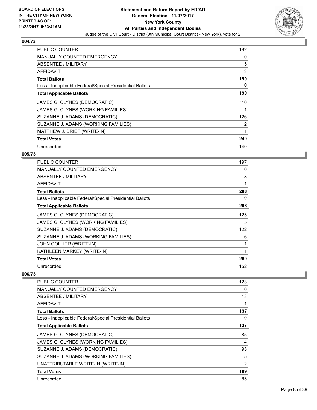

| <b>PUBLIC COUNTER</b>                                    | 182 |
|----------------------------------------------------------|-----|
| <b>MANUALLY COUNTED EMERGENCY</b>                        | 0   |
| ABSENTEE / MILITARY                                      | 5   |
| AFFIDAVIT                                                | 3   |
| <b>Total Ballots</b>                                     | 190 |
| Less - Inapplicable Federal/Special Presidential Ballots | 0   |
| <b>Total Applicable Ballots</b>                          | 190 |
| JAMES G. CLYNES (DEMOCRATIC)                             | 110 |
| JAMES G. CLYNES (WORKING FAMILIES)                       |     |
|                                                          |     |
| SUZANNE J. ADAMS (DEMOCRATIC)                            | 126 |
| SUZANNE J. ADAMS (WORKING FAMILIES)                      | 2   |
| MATTHEW J. BRIEF (WRITE-IN)                              |     |
| <b>Total Votes</b>                                       | 240 |

# **005/73**

| <b>PUBLIC COUNTER</b>                                    | 197 |
|----------------------------------------------------------|-----|
| <b>MANUALLY COUNTED EMERGENCY</b>                        | 0   |
| ABSENTEE / MILITARY                                      | 8   |
| AFFIDAVIT                                                | 1   |
| <b>Total Ballots</b>                                     | 206 |
| Less - Inapplicable Federal/Special Presidential Ballots | 0   |
| <b>Total Applicable Ballots</b>                          | 206 |
| JAMES G. CLYNES (DEMOCRATIC)                             | 125 |
| JAMES G. CLYNES (WORKING FAMILIES)                       | 5   |
| SUZANNE J. ADAMS (DEMOCRATIC)                            | 122 |
| SUZANNE J. ADAMS (WORKING FAMILIES)                      | 6   |
| JOHN COLLIER (WRITE-IN)                                  |     |
| KATHLEEN MARKEY (WRITE-IN)                               | 1   |
| <b>Total Votes</b>                                       | 260 |
| Unrecorded                                               | 152 |

| PUBLIC COUNTER                                           | 123            |
|----------------------------------------------------------|----------------|
| <b>MANUALLY COUNTED EMERGENCY</b>                        | 0              |
| ABSENTEE / MILITARY                                      | 13             |
| AFFIDAVIT                                                | 1              |
| <b>Total Ballots</b>                                     | 137            |
| Less - Inapplicable Federal/Special Presidential Ballots | 0              |
| <b>Total Applicable Ballots</b>                          | 137            |
| JAMES G. CLYNES (DEMOCRATIC)                             | 85             |
| JAMES G. CLYNES (WORKING FAMILIES)                       | 4              |
| SUZANNE J. ADAMS (DEMOCRATIC)                            | 93             |
| SUZANNE J. ADAMS (WORKING FAMILIES)                      | 5              |
| UNATTRIBUTABLE WRITE-IN (WRITE-IN)                       | $\overline{2}$ |
| <b>Total Votes</b>                                       | 189            |
| Unrecorded                                               | 85             |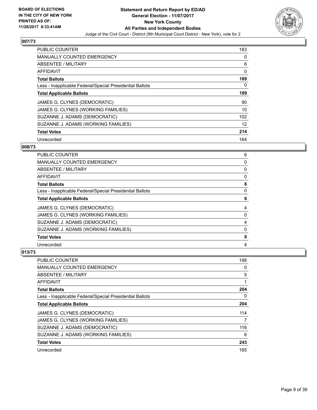

| <b>PUBLIC COUNTER</b>                                    | 183 |
|----------------------------------------------------------|-----|
| <b>MANUALLY COUNTED EMERGENCY</b>                        | 0   |
| ABSENTEE / MILITARY                                      | 6   |
| <b>AFFIDAVIT</b>                                         | 0   |
| <b>Total Ballots</b>                                     | 189 |
| Less - Inapplicable Federal/Special Presidential Ballots | 0   |
| <b>Total Applicable Ballots</b>                          | 189 |
| JAMES G. CLYNES (DEMOCRATIC)                             | 90  |
| JAMES G. CLYNES (WORKING FAMILIES)                       | 10  |
| SUZANNE J. ADAMS (DEMOCRATIC)                            | 102 |
| SUZANNE J. ADAMS (WORKING FAMILIES)                      | 12  |
| <b>Total Votes</b>                                       | 214 |
| Unrecorded                                               | 164 |

# **008/73**

| PUBLIC COUNTER                                           | 6 |
|----------------------------------------------------------|---|
| <b>MANUALLY COUNTED EMERGENCY</b>                        | 0 |
| <b>ABSENTEE / MILITARY</b>                               | 0 |
| <b>AFFIDAVIT</b>                                         | 0 |
| <b>Total Ballots</b>                                     | 6 |
| Less - Inapplicable Federal/Special Presidential Ballots | 0 |
| <b>Total Applicable Ballots</b>                          | 6 |
| JAMES G. CLYNES (DEMOCRATIC)                             | 4 |
| JAMES G. CLYNES (WORKING FAMILIES)                       | 0 |
| SUZANNE J. ADAMS (DEMOCRATIC)                            | 4 |
| SUZANNE J. ADAMS (WORKING FAMILIES)                      | 0 |
| <b>Total Votes</b>                                       | 8 |
| Unrecorded                                               | 4 |

| <b>PUBLIC COUNTER</b>                                    | 198 |
|----------------------------------------------------------|-----|
| MANUALLY COUNTED EMERGENCY                               | 0   |
| ABSENTEE / MILITARY                                      | 5   |
| AFFIDAVIT                                                |     |
| <b>Total Ballots</b>                                     | 204 |
| Less - Inapplicable Federal/Special Presidential Ballots | 0   |
| <b>Total Applicable Ballots</b>                          | 204 |
| JAMES G. CLYNES (DEMOCRATIC)                             | 114 |
| JAMES G. CLYNES (WORKING FAMILIES)                       | 7   |
| SUZANNE J. ADAMS (DEMOCRATIC)                            | 116 |
| SUZANNE J. ADAMS (WORKING FAMILIES)                      | 6   |
| <b>Total Votes</b>                                       | 243 |
| Unrecorded                                               | 165 |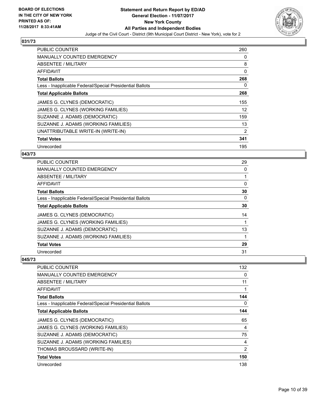

| <b>PUBLIC COUNTER</b>                                    | 260 |
|----------------------------------------------------------|-----|
| <b>MANUALLY COUNTED EMERGENCY</b>                        | 0   |
| ABSENTEE / MILITARY                                      | 8   |
| AFFIDAVIT                                                | 0   |
| <b>Total Ballots</b>                                     | 268 |
| Less - Inapplicable Federal/Special Presidential Ballots | 0   |
| <b>Total Applicable Ballots</b>                          | 268 |
| JAMES G. CLYNES (DEMOCRATIC)                             | 155 |
| JAMES G. CLYNES (WORKING FAMILIES)                       | 12  |
| SUZANNE J. ADAMS (DEMOCRATIC)                            | 159 |
| SUZANNE J. ADAMS (WORKING FAMILIES)                      | 13  |
| UNATTRIBUTABLE WRITE-IN (WRITE-IN)                       | 2   |
| <b>Total Votes</b>                                       | 341 |
| Unrecorded                                               | 195 |

#### **043/73**

| <b>PUBLIC COUNTER</b>                                    | 29 |
|----------------------------------------------------------|----|
| <b>MANUALLY COUNTED EMERGENCY</b>                        | 0  |
| ABSENTEE / MILITARY                                      |    |
| AFFIDAVIT                                                | 0  |
| <b>Total Ballots</b>                                     | 30 |
| Less - Inapplicable Federal/Special Presidential Ballots | 0  |
| <b>Total Applicable Ballots</b>                          | 30 |
| JAMES G. CLYNES (DEMOCRATIC)                             | 14 |
| JAMES G. CLYNES (WORKING FAMILIES)                       |    |
| SUZANNE J. ADAMS (DEMOCRATIC)                            | 13 |
| SUZANNE J. ADAMS (WORKING FAMILIES)                      |    |
| <b>Total Votes</b>                                       | 29 |
| Unrecorded                                               | 31 |

| <b>PUBLIC COUNTER</b>                                    | 132 |
|----------------------------------------------------------|-----|
| MANUALLY COUNTED EMERGENCY                               | 0   |
| ABSENTEE / MILITARY                                      | 11  |
| AFFIDAVIT                                                |     |
| <b>Total Ballots</b>                                     | 144 |
| Less - Inapplicable Federal/Special Presidential Ballots | 0   |
| <b>Total Applicable Ballots</b>                          | 144 |
| JAMES G. CLYNES (DEMOCRATIC)                             | 65  |
| JAMES G. CLYNES (WORKING FAMILIES)                       | 4   |
| SUZANNE J. ADAMS (DEMOCRATIC)                            | 75  |
| SUZANNE J. ADAMS (WORKING FAMILIES)                      | 4   |
| THOMAS BROUSSARD (WRITE-IN)                              | 2   |
| <b>Total Votes</b>                                       | 150 |
| Unrecorded                                               | 138 |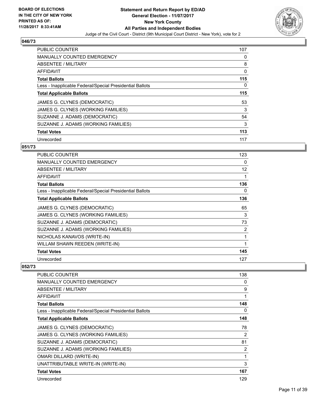

| <b>PUBLIC COUNTER</b>                                    | 107 |
|----------------------------------------------------------|-----|
| <b>MANUALLY COUNTED EMERGENCY</b>                        | 0   |
| ABSENTEE / MILITARY                                      | 8   |
| <b>AFFIDAVIT</b>                                         | 0   |
| <b>Total Ballots</b>                                     | 115 |
| Less - Inapplicable Federal/Special Presidential Ballots | 0   |
| <b>Total Applicable Ballots</b>                          | 115 |
| JAMES G. CLYNES (DEMOCRATIC)                             | 53  |
| JAMES G. CLYNES (WORKING FAMILIES)                       | 3   |
| SUZANNE J. ADAMS (DEMOCRATIC)                            | 54  |
| SUZANNE J. ADAMS (WORKING FAMILIES)                      | 3   |
| <b>Total Votes</b>                                       | 113 |
| Unrecorded                                               | 117 |

## **051/73**

| <b>PUBLIC COUNTER</b>                                    | 123 |
|----------------------------------------------------------|-----|
| <b>MANUALLY COUNTED EMERGENCY</b>                        | 0   |
| ABSENTEE / MILITARY                                      | 12  |
| <b>AFFIDAVIT</b>                                         |     |
| <b>Total Ballots</b>                                     | 136 |
| Less - Inapplicable Federal/Special Presidential Ballots | 0   |
| <b>Total Applicable Ballots</b>                          | 136 |
| JAMES G. CLYNES (DEMOCRATIC)                             | 65  |
| JAMES G. CLYNES (WORKING FAMILIES)                       | 3   |
| SUZANNE J. ADAMS (DEMOCRATIC)                            | 73  |
| SUZANNE J. ADAMS (WORKING FAMILIES)                      | 2   |
| NICHOLAS KANAVOS (WRITE-IN)                              | 1   |
| WILLAM SHAWN REEDEN (WRITE-IN)                           | 1   |
| <b>Total Votes</b>                                       | 145 |
| Unrecorded                                               | 127 |

| <b>PUBLIC COUNTER</b>                                    | 138            |
|----------------------------------------------------------|----------------|
| <b>MANUALLY COUNTED EMERGENCY</b>                        | 0              |
| <b>ABSENTEE / MILITARY</b>                               | 9              |
| AFFIDAVIT                                                | 1              |
| <b>Total Ballots</b>                                     | 148            |
| Less - Inapplicable Federal/Special Presidential Ballots | 0              |
| <b>Total Applicable Ballots</b>                          | 148            |
| JAMES G. CLYNES (DEMOCRATIC)                             | 78             |
| JAMES G. CLYNES (WORKING FAMILIES)                       | $\overline{2}$ |
| SUZANNE J. ADAMS (DEMOCRATIC)                            | 81             |
| SUZANNE J. ADAMS (WORKING FAMILIES)                      | 2              |
| <b>OMARI DILLARD (WRITE-IN)</b>                          | 1              |
| UNATTRIBUTABLE WRITE-IN (WRITE-IN)                       | 3              |
| <b>Total Votes</b>                                       | 167            |
| Unrecorded                                               | 129            |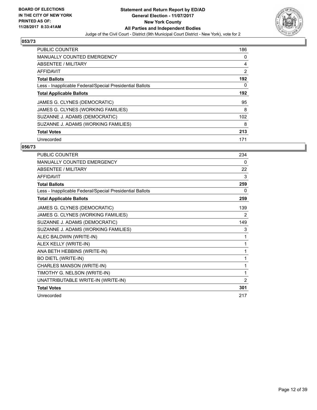

| <b>PUBLIC COUNTER</b>                                    | 186 |
|----------------------------------------------------------|-----|
| <b>MANUALLY COUNTED EMERGENCY</b>                        | 0   |
| <b>ABSENTEE / MILITARY</b>                               | 4   |
| AFFIDAVIT                                                | 2   |
| <b>Total Ballots</b>                                     | 192 |
| Less - Inapplicable Federal/Special Presidential Ballots | 0   |
| <b>Total Applicable Ballots</b>                          | 192 |
| JAMES G. CLYNES (DEMOCRATIC)                             | 95  |
| JAMES G. CLYNES (WORKING FAMILIES)                       | 8   |
| SUZANNE J. ADAMS (DEMOCRATIC)                            | 102 |
| SUZANNE J. ADAMS (WORKING FAMILIES)                      | 8   |
| <b>Total Votes</b>                                       | 213 |
| Unrecorded                                               | 171 |

| <b>PUBLIC COUNTER</b>                                    | 234 |
|----------------------------------------------------------|-----|
| MANUALLY COUNTED EMERGENCY                               | 0   |
| <b>ABSENTEE / MILITARY</b>                               | 22  |
| <b>AFFIDAVIT</b>                                         | 3   |
| <b>Total Ballots</b>                                     | 259 |
| Less - Inapplicable Federal/Special Presidential Ballots | 0   |
| <b>Total Applicable Ballots</b>                          | 259 |
| JAMES G. CLYNES (DEMOCRATIC)                             | 139 |
| JAMES G. CLYNES (WORKING FAMILIES)                       | 2   |
| SUZANNE J. ADAMS (DEMOCRATIC)                            | 149 |
| SUZANNE J. ADAMS (WORKING FAMILIES)                      | 3   |
| ALEC BALDWIN (WRITE-IN)                                  | 1   |
| ALEX KELLY (WRITE-IN)                                    | 1   |
| ANA BETH HEBBINS (WRITE-IN)                              | 1   |
| <b>BO DIETL (WRITE-IN)</b>                               | 1   |
| CHARLES MANSON (WRITE-IN)                                | 1   |
| TIMOTHY G. NELSON (WRITE-IN)                             | 1   |
| UNATTRIBUTABLE WRITE-IN (WRITE-IN)                       | 2   |
| <b>Total Votes</b>                                       | 301 |
| Unrecorded                                               | 217 |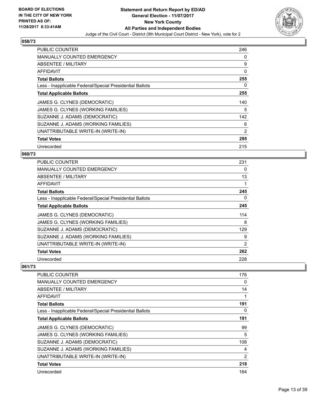

| PUBLIC COUNTER                                           | 246 |
|----------------------------------------------------------|-----|
| <b>MANUALLY COUNTED EMERGENCY</b>                        | 0   |
| <b>ABSENTEE / MILITARY</b>                               | 9   |
| AFFIDAVIT                                                | 0   |
| <b>Total Ballots</b>                                     | 255 |
| Less - Inapplicable Federal/Special Presidential Ballots | 0   |
| <b>Total Applicable Ballots</b>                          | 255 |
|                                                          |     |
| JAMES G. CLYNES (DEMOCRATIC)                             | 140 |
| JAMES G. CLYNES (WORKING FAMILIES)                       | 5   |
| SUZANNE J. ADAMS (DEMOCRATIC)                            | 142 |
| SUZANNE J. ADAMS (WORKING FAMILIES)                      | 6   |
| UNATTRIBUTABLE WRITE-IN (WRITE-IN)                       | 2   |
| <b>Total Votes</b>                                       | 295 |

# **060/73**

| <b>PUBLIC COUNTER</b>                                    | 231 |
|----------------------------------------------------------|-----|
| <b>MANUALLY COUNTED EMERGENCY</b>                        | 0   |
| <b>ABSENTEE / MILITARY</b>                               | 13  |
| <b>AFFIDAVIT</b>                                         |     |
| <b>Total Ballots</b>                                     | 245 |
| Less - Inapplicable Federal/Special Presidential Ballots | 0   |
| <b>Total Applicable Ballots</b>                          | 245 |
| JAMES G. CLYNES (DEMOCRATIC)                             | 114 |
| JAMES G. CLYNES (WORKING FAMILIES)                       | 8   |
| SUZANNE J. ADAMS (DEMOCRATIC)                            | 129 |
| SUZANNE J. ADAMS (WORKING FAMILIES)                      | 9   |
| UNATTRIBUTABLE WRITE-IN (WRITE-IN)                       | 2   |
| <b>Total Votes</b>                                       | 262 |
| Unrecorded                                               | 228 |

| <b>PUBLIC COUNTER</b>                                    | 176 |
|----------------------------------------------------------|-----|
| <b>MANUALLY COUNTED EMERGENCY</b>                        | 0   |
| ABSENTEE / MILITARY                                      | 14  |
| AFFIDAVIT                                                |     |
| <b>Total Ballots</b>                                     | 191 |
| Less - Inapplicable Federal/Special Presidential Ballots | 0   |
| <b>Total Applicable Ballots</b>                          | 191 |
| JAMES G. CLYNES (DEMOCRATIC)                             | 99  |
| JAMES G. CLYNES (WORKING FAMILIES)                       | 5   |
| SUZANNE J. ADAMS (DEMOCRATIC)                            | 108 |
| SUZANNE J. ADAMS (WORKING FAMILIES)                      | 4   |
| UNATTRIBUTABLE WRITE-IN (WRITE-IN)                       | 2   |
| <b>Total Votes</b>                                       | 218 |
| Unrecorded                                               | 164 |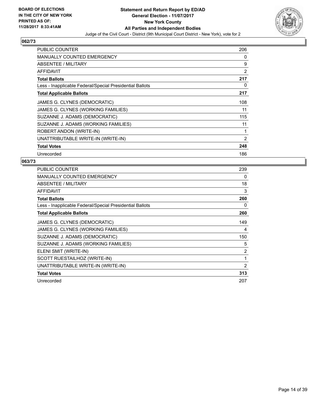

| <b>PUBLIC COUNTER</b>                                    | 206            |
|----------------------------------------------------------|----------------|
| <b>MANUALLY COUNTED EMERGENCY</b>                        | 0              |
| ABSENTEE / MILITARY                                      | 9              |
| AFFIDAVIT                                                | 2              |
| <b>Total Ballots</b>                                     | 217            |
| Less - Inapplicable Federal/Special Presidential Ballots | 0              |
| <b>Total Applicable Ballots</b>                          | 217            |
| JAMES G. CLYNES (DEMOCRATIC)                             | 108            |
| JAMES G. CLYNES (WORKING FAMILIES)                       | 11             |
| SUZANNE J. ADAMS (DEMOCRATIC)                            | 115            |
| SUZANNE J. ADAMS (WORKING FAMILIES)                      | 11             |
| ROBERT ANDON (WRITE-IN)                                  | 1              |
| UNATTRIBUTABLE WRITE-IN (WRITE-IN)                       | $\overline{2}$ |
| <b>Total Votes</b>                                       | 248            |
| Unrecorded                                               | 186            |

| <b>PUBLIC COUNTER</b>                                    | 239            |
|----------------------------------------------------------|----------------|
| MANUALLY COUNTED EMERGENCY                               | 0              |
| ABSENTEE / MILITARY                                      | 18             |
| <b>AFFIDAVIT</b>                                         | 3              |
| <b>Total Ballots</b>                                     | 260            |
| Less - Inapplicable Federal/Special Presidential Ballots | 0              |
| <b>Total Applicable Ballots</b>                          | 260            |
| JAMES G. CLYNES (DEMOCRATIC)                             | 149            |
| JAMES G. CLYNES (WORKING FAMILIES)                       | 4              |
| SUZANNE J. ADAMS (DEMOCRATIC)                            | 150            |
| SUZANNE J. ADAMS (WORKING FAMILIES)                      | 5              |
| ELENI SMIT (WRITE-IN)                                    | $\overline{2}$ |
| SCOTT RUESTAILHOZ (WRITE-IN)                             | 1              |
| UNATTRIBUTABLE WRITE-IN (WRITE-IN)                       | 2              |
| <b>Total Votes</b>                                       | 313            |
| Unrecorded                                               | 207            |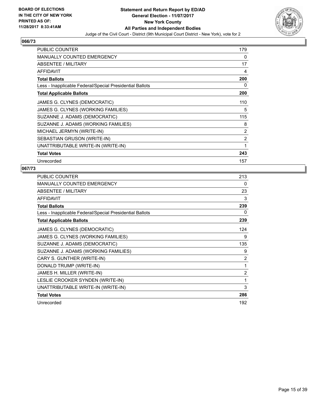

| <b>PUBLIC COUNTER</b>                                    | 179 |
|----------------------------------------------------------|-----|
| <b>MANUALLY COUNTED EMERGENCY</b>                        | 0   |
| <b>ABSENTEE / MILITARY</b>                               | 17  |
| <b>AFFIDAVIT</b>                                         | 4   |
| <b>Total Ballots</b>                                     | 200 |
| Less - Inapplicable Federal/Special Presidential Ballots | 0   |
| <b>Total Applicable Ballots</b>                          | 200 |
| JAMES G. CLYNES (DEMOCRATIC)                             | 110 |
| JAMES G. CLYNES (WORKING FAMILIES)                       | 5   |
| SUZANNE J. ADAMS (DEMOCRATIC)                            | 115 |
| SUZANNE J. ADAMS (WORKING FAMILIES)                      | 8   |
| MICHAEL JERMYN (WRITE-IN)                                | 2   |
| SEBASTIAN GRUSON (WRITE-IN)                              | 2   |
| UNATTRIBUTABLE WRITE-IN (WRITE-IN)                       | 1   |
| <b>Total Votes</b>                                       | 243 |
| Unrecorded                                               | 157 |

| <b>PUBLIC COUNTER</b>                                    | 213            |
|----------------------------------------------------------|----------------|
| MANUALLY COUNTED EMERGENCY                               | 0              |
| ABSENTEE / MILITARY                                      | 23             |
| <b>AFFIDAVIT</b>                                         | 3              |
| <b>Total Ballots</b>                                     | 239            |
| Less - Inapplicable Federal/Special Presidential Ballots | 0              |
| <b>Total Applicable Ballots</b>                          | 239            |
| JAMES G. CLYNES (DEMOCRATIC)                             | 124            |
| JAMES G. CLYNES (WORKING FAMILIES)                       | 9              |
| SUZANNE J. ADAMS (DEMOCRATIC)                            | 135            |
| SUZANNE J. ADAMS (WORKING FAMILIES)                      | 9              |
| CARY S. GUNTHER (WRITE-IN)                               | 2              |
| DONALD TRUMP (WRITE-IN)                                  | 1              |
| JAMES H. MILLER (WRITE-IN)                               | $\overline{2}$ |
| LESLIE CROOKER SYNDEN (WRITE-IN)                         | 1              |
| UNATTRIBUTABLE WRITE-IN (WRITE-IN)                       | 3              |
| <b>Total Votes</b>                                       | 286            |
| Unrecorded                                               | 192            |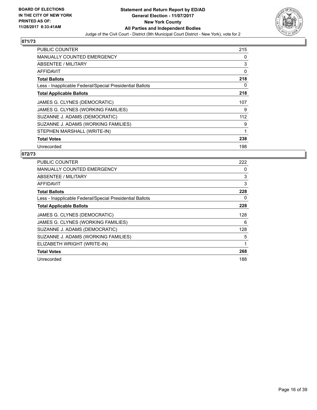

| PUBLIC COUNTER                                           | 215      |
|----------------------------------------------------------|----------|
| <b>MANUALLY COUNTED EMERGENCY</b>                        | 0        |
| ABSENTEE / MILITARY                                      | 3        |
| <b>AFFIDAVIT</b>                                         | $\Omega$ |
| <b>Total Ballots</b>                                     | 218      |
| Less - Inapplicable Federal/Special Presidential Ballots | 0        |
| <b>Total Applicable Ballots</b>                          | 218      |
|                                                          |          |
| JAMES G. CLYNES (DEMOCRATIC)                             | 107      |
| JAMES G. CLYNES (WORKING FAMILIES)                       | 9        |
| SUZANNE J. ADAMS (DEMOCRATIC)                            | 112      |
| SUZANNE J. ADAMS (WORKING FAMILIES)                      | 9        |
| STEPHEN MARSHALL (WRITE-IN)                              | 1        |
| <b>Total Votes</b>                                       | 238      |

| <b>PUBLIC COUNTER</b>                                    | 222 |
|----------------------------------------------------------|-----|
| <b>MANUALLY COUNTED EMERGENCY</b>                        | 0   |
| <b>ABSENTEE / MILITARY</b>                               | 3   |
| AFFIDAVIT                                                | 3   |
| <b>Total Ballots</b>                                     | 228 |
| Less - Inapplicable Federal/Special Presidential Ballots | 0   |
| <b>Total Applicable Ballots</b>                          | 228 |
| JAMES G. CLYNES (DEMOCRATIC)                             | 128 |
|                                                          |     |
| JAMES G. CLYNES (WORKING FAMILIES)                       | 6   |
| SUZANNE J. ADAMS (DEMOCRATIC)                            | 128 |
| SUZANNE J. ADAMS (WORKING FAMILIES)                      | 5   |
| ELIZABETH WRIGHT (WRITE-IN)                              |     |
| <b>Total Votes</b>                                       | 268 |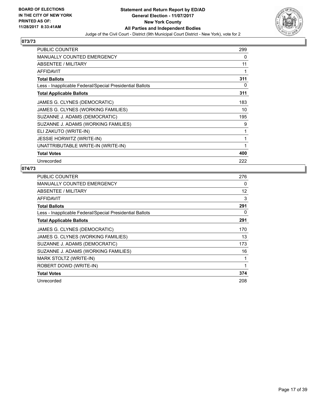

| <b>PUBLIC COUNTER</b>                                    | 299 |
|----------------------------------------------------------|-----|
| MANUALLY COUNTED EMERGENCY                               | 0   |
| ABSENTEE / MILITARY                                      | 11  |
| <b>AFFIDAVIT</b>                                         | 1   |
| <b>Total Ballots</b>                                     | 311 |
| Less - Inapplicable Federal/Special Presidential Ballots | 0   |
| <b>Total Applicable Ballots</b>                          | 311 |
| JAMES G. CLYNES (DEMOCRATIC)                             | 183 |
| JAMES G. CLYNES (WORKING FAMILIES)                       | 10  |
| SUZANNE J. ADAMS (DEMOCRATIC)                            | 195 |
| SUZANNE J. ADAMS (WORKING FAMILIES)                      | 9   |
| ELI ZAKUTO (WRITE-IN)                                    | 1   |
| <b>JESSIE HORWITZ (WRITE-IN)</b>                         | 1   |
| UNATTRIBUTABLE WRITE-IN (WRITE-IN)                       | 1   |
| <b>Total Votes</b>                                       | 400 |
| Unrecorded                                               | 222 |

| <b>PUBLIC COUNTER</b>                                    | 276 |
|----------------------------------------------------------|-----|
| <b>MANUALLY COUNTED EMERGENCY</b>                        | 0   |
| ABSENTEE / MILITARY                                      | 12  |
| <b>AFFIDAVIT</b>                                         | 3   |
| <b>Total Ballots</b>                                     | 291 |
| Less - Inapplicable Federal/Special Presidential Ballots | 0   |
| <b>Total Applicable Ballots</b>                          | 291 |
| JAMES G. CLYNES (DEMOCRATIC)                             | 170 |
| JAMES G. CLYNES (WORKING FAMILIES)                       | 13  |
| SUZANNE J. ADAMS (DEMOCRATIC)                            | 173 |
| SUZANNE J. ADAMS (WORKING FAMILIES)                      | 16  |
| MARK STOLTZ (WRITE-IN)                                   | 1   |
| ROBERT DOWD (WRITE-IN)                                   |     |
| <b>Total Votes</b>                                       | 374 |
| Unrecorded                                               | 208 |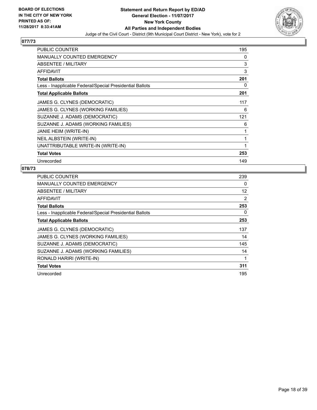

| <b>PUBLIC COUNTER</b>                                    | 195 |
|----------------------------------------------------------|-----|
| <b>MANUALLY COUNTED EMERGENCY</b>                        | 0   |
| <b>ABSENTEE / MILITARY</b>                               | 3   |
| <b>AFFIDAVIT</b>                                         | 3   |
| <b>Total Ballots</b>                                     | 201 |
| Less - Inapplicable Federal/Special Presidential Ballots | 0   |
| <b>Total Applicable Ballots</b>                          | 201 |
| JAMES G. CLYNES (DEMOCRATIC)                             | 117 |
| JAMES G. CLYNES (WORKING FAMILIES)                       | 6   |
| SUZANNE J. ADAMS (DEMOCRATIC)                            | 121 |
| SUZANNE J. ADAMS (WORKING FAMILIES)                      | 6   |
| JANIE HEIM (WRITE-IN)                                    | 1   |
| NEIL ALBSTEIN (WRITE-IN)                                 | 1   |
| UNATTRIBUTABLE WRITE-IN (WRITE-IN)                       | 1   |
| <b>Total Votes</b>                                       | 253 |
| Unrecorded                                               | 149 |

| <b>PUBLIC COUNTER</b>                                    | 239 |
|----------------------------------------------------------|-----|
| <b>MANUALLY COUNTED EMERGENCY</b>                        | 0   |
| ABSENTEE / MILITARY                                      | 12  |
| AFFIDAVIT                                                | 2   |
| <b>Total Ballots</b>                                     | 253 |
| Less - Inapplicable Federal/Special Presidential Ballots | 0   |
| <b>Total Applicable Ballots</b>                          | 253 |
| JAMES G. CLYNES (DEMOCRATIC)                             | 137 |
|                                                          |     |
| JAMES G. CLYNES (WORKING FAMILIES)                       | 14  |
| SUZANNE J. ADAMS (DEMOCRATIC)                            | 145 |
| SUZANNE J. ADAMS (WORKING FAMILIES)                      | 14  |
| RONALD HARIRI (WRITE-IN)                                 |     |
| <b>Total Votes</b>                                       | 311 |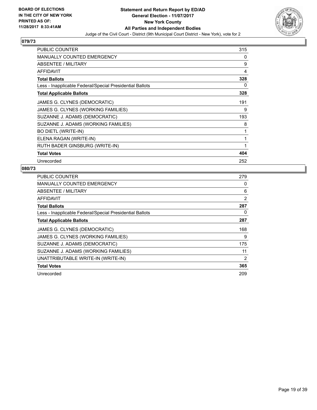

| <b>PUBLIC COUNTER</b>                                    | 315 |
|----------------------------------------------------------|-----|
| <b>MANUALLY COUNTED EMERGENCY</b>                        | 0   |
| ABSENTEE / MILITARY                                      | 9   |
| <b>AFFIDAVIT</b>                                         | 4   |
| <b>Total Ballots</b>                                     | 328 |
| Less - Inapplicable Federal/Special Presidential Ballots | 0   |
| <b>Total Applicable Ballots</b>                          | 328 |
| JAMES G. CLYNES (DEMOCRATIC)                             | 191 |
| JAMES G. CLYNES (WORKING FAMILIES)                       | 9   |
| SUZANNE J. ADAMS (DEMOCRATIC)                            | 193 |
| SUZANNE J. ADAMS (WORKING FAMILIES)                      | 8   |
| <b>BO DIETL (WRITE-IN)</b>                               | 1   |
| ELENA RAGAN (WRITE-IN)                                   | 1   |
| RUTH BADER GINSBURG (WRITE-IN)                           | 1   |
| <b>Total Votes</b>                                       | 404 |
| Unrecorded                                               | 252 |

| <b>PUBLIC COUNTER</b>                                    | 279 |
|----------------------------------------------------------|-----|
| <b>MANUALLY COUNTED EMERGENCY</b>                        | 0   |
| ABSENTEE / MILITARY                                      | 6   |
| AFFIDAVIT                                                | 2   |
| <b>Total Ballots</b>                                     | 287 |
| Less - Inapplicable Federal/Special Presidential Ballots | 0   |
| <b>Total Applicable Ballots</b>                          | 287 |
| JAMES G. CLYNES (DEMOCRATIC)                             | 168 |
|                                                          |     |
| JAMES G. CLYNES (WORKING FAMILIES)                       | 9   |
| SUZANNE J. ADAMS (DEMOCRATIC)                            | 175 |
| SUZANNE J. ADAMS (WORKING FAMILIES)                      | 11  |
| UNATTRIBUTABLE WRITE-IN (WRITE-IN)                       | 2   |
| <b>Total Votes</b>                                       | 365 |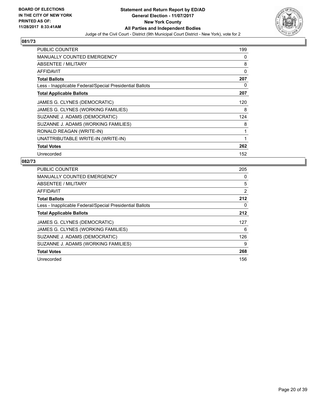

| PUBLIC COUNTER                                           | 199 |
|----------------------------------------------------------|-----|
| <b>MANUALLY COUNTED EMERGENCY</b>                        | 0   |
| <b>ABSENTEE / MILITARY</b>                               | 8   |
| <b>AFFIDAVIT</b>                                         | 0   |
| <b>Total Ballots</b>                                     | 207 |
| Less - Inapplicable Federal/Special Presidential Ballots | 0   |
| <b>Total Applicable Ballots</b>                          | 207 |
| JAMES G. CLYNES (DEMOCRATIC)                             | 120 |
| JAMES G. CLYNES (WORKING FAMILIES)                       | 8   |
| SUZANNE J. ADAMS (DEMOCRATIC)                            | 124 |
| SUZANNE J. ADAMS (WORKING FAMILIES)                      | 8   |
| RONALD REAGAN (WRITE-IN)                                 | 1   |
| UNATTRIBUTABLE WRITE-IN (WRITE-IN)                       | 1   |
| <b>Total Votes</b>                                       | 262 |
| Unrecorded                                               | 152 |

| <b>PUBLIC COUNTER</b>                                    | 205 |
|----------------------------------------------------------|-----|
| MANUALLY COUNTED EMERGENCY                               | 0   |
| ABSENTEE / MILITARY                                      | 5   |
| <b>AFFIDAVIT</b>                                         | 2   |
| <b>Total Ballots</b>                                     | 212 |
| Less - Inapplicable Federal/Special Presidential Ballots | 0   |
| <b>Total Applicable Ballots</b>                          | 212 |
| JAMES G. CLYNES (DEMOCRATIC)                             | 127 |
| JAMES G. CLYNES (WORKING FAMILIES)                       | 6   |
| SUZANNE J. ADAMS (DEMOCRATIC)                            | 126 |
| SUZANNE J. ADAMS (WORKING FAMILIES)                      | 9   |
| <b>Total Votes</b>                                       | 268 |
| Unrecorded                                               | 156 |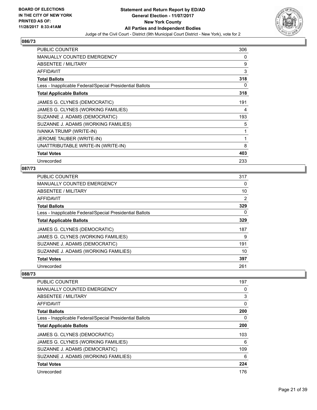

| <b>PUBLIC COUNTER</b>                                    | 306 |
|----------------------------------------------------------|-----|
| MANUALLY COUNTED EMERGENCY                               | 0   |
| ABSENTEE / MILITARY                                      | 9   |
| <b>AFFIDAVIT</b>                                         | 3   |
| <b>Total Ballots</b>                                     | 318 |
| Less - Inapplicable Federal/Special Presidential Ballots | 0   |
| <b>Total Applicable Ballots</b>                          | 318 |
| JAMES G. CLYNES (DEMOCRATIC)                             | 191 |
| JAMES G. CLYNES (WORKING FAMILIES)                       | 4   |
| SUZANNE J. ADAMS (DEMOCRATIC)                            | 193 |
| SUZANNE J. ADAMS (WORKING FAMILIES)                      | 5   |
| IVANKA TRUMP (WRITE-IN)                                  | 1   |
| JEROME TAUBER (WRITE-IN)                                 | 1   |
| UNATTRIBUTABLE WRITE-IN (WRITE-IN)                       | 8   |
| <b>Total Votes</b>                                       | 403 |
| Unrecorded                                               | 233 |

# **087/73**

| PUBLIC COUNTER                                           | 317 |
|----------------------------------------------------------|-----|
| MANUALLY COUNTED EMERGENCY                               | 0   |
| ABSENTEE / MILITARY                                      | 10  |
| AFFIDAVIT                                                | 2   |
| <b>Total Ballots</b>                                     | 329 |
| Less - Inapplicable Federal/Special Presidential Ballots | 0   |
| <b>Total Applicable Ballots</b>                          | 329 |
| JAMES G. CLYNES (DEMOCRATIC)                             | 187 |
| JAMES G. CLYNES (WORKING FAMILIES)                       | 9   |
| SUZANNE J. ADAMS (DEMOCRATIC)                            | 191 |
| SUZANNE J. ADAMS (WORKING FAMILIES)                      | 10  |
| <b>Total Votes</b>                                       | 397 |
| Unrecorded                                               | 261 |

| <b>PUBLIC COUNTER</b>                                    | 197 |
|----------------------------------------------------------|-----|
| <b>MANUALLY COUNTED EMERGENCY</b>                        | 0   |
| ABSENTEE / MILITARY                                      | 3   |
| AFFIDAVIT                                                | 0   |
| <b>Total Ballots</b>                                     | 200 |
| Less - Inapplicable Federal/Special Presidential Ballots | 0   |
| <b>Total Applicable Ballots</b>                          | 200 |
| JAMES G. CLYNES (DEMOCRATIC)                             | 103 |
| JAMES G. CLYNES (WORKING FAMILIES)                       | 6   |
| SUZANNE J. ADAMS (DEMOCRATIC)                            | 109 |
| SUZANNE J. ADAMS (WORKING FAMILIES)                      | 6   |
| <b>Total Votes</b>                                       | 224 |
| Unrecorded                                               | 176 |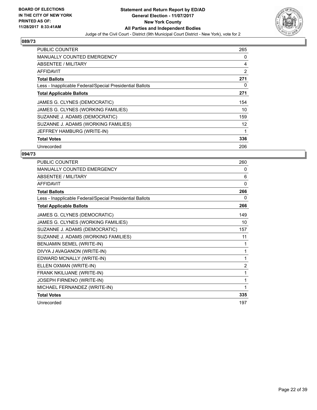

| <b>PUBLIC COUNTER</b>                                    | 265 |
|----------------------------------------------------------|-----|
| <b>MANUALLY COUNTED EMERGENCY</b>                        | 0   |
| <b>ABSENTEE / MILITARY</b>                               | 4   |
| AFFIDAVIT                                                | 2   |
| <b>Total Ballots</b>                                     | 271 |
| Less - Inapplicable Federal/Special Presidential Ballots | 0   |
| <b>Total Applicable Ballots</b>                          | 271 |
| JAMES G. CLYNES (DEMOCRATIC)                             | 154 |
| JAMES G. CLYNES (WORKING FAMILIES)                       | 10  |
| SUZANNE J. ADAMS (DEMOCRATIC)                            | 159 |
| SUZANNE J. ADAMS (WORKING FAMILIES)                      | 12  |
| JEFFREY HAMBURG (WRITE-IN)                               | 1   |
| <b>Total Votes</b>                                       | 336 |
| Unrecorded                                               | 206 |

| PUBLIC COUNTER                                           | 260            |
|----------------------------------------------------------|----------------|
| <b>MANUALLY COUNTED EMERGENCY</b>                        | 0              |
| ABSENTEE / MILITARY                                      | 6              |
| <b>AFFIDAVIT</b>                                         | $\Omega$       |
| <b>Total Ballots</b>                                     | 266            |
| Less - Inapplicable Federal/Special Presidential Ballots | 0              |
| <b>Total Applicable Ballots</b>                          | 266            |
| JAMES G. CLYNES (DEMOCRATIC)                             | 149            |
| JAMES G. CLYNES (WORKING FAMILIES)                       | 10             |
| SUZANNE J. ADAMS (DEMOCRATIC)                            | 157            |
| SUZANNE J. ADAMS (WORKING FAMILIES)                      | 11             |
| BENJAMIN SEMEL (WRITE-IN)                                | 1              |
| DIVYA J AVAGANON (WRITE-IN)                              | 1              |
| EDWARD MCNALLY (WRITE-IN)                                | 1              |
| ELLEN OXMAN (WRITE-IN)                                   | $\overline{2}$ |
| FRANK NKILIJANE (WRITE-IN)                               | 1              |
| JOSEPH FIRNENO (WRITE-IN)                                | 1              |
| MICHAEL FERNANDEZ (WRITE-IN)                             | 1              |
| <b>Total Votes</b>                                       | 335            |
| Unrecorded                                               | 197            |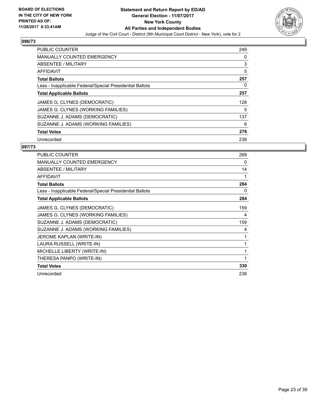

| <b>PUBLIC COUNTER</b>                                    | 249 |
|----------------------------------------------------------|-----|
| <b>MANUALLY COUNTED EMERGENCY</b>                        | 0   |
| <b>ABSENTEE / MILITARY</b>                               | 3   |
| <b>AFFIDAVIT</b>                                         | 5   |
| <b>Total Ballots</b>                                     | 257 |
| Less - Inapplicable Federal/Special Presidential Ballots | 0   |
| <b>Total Applicable Ballots</b>                          | 257 |
| JAMES G. CLYNES (DEMOCRATIC)                             | 128 |
| JAMES G. CLYNES (WORKING FAMILIES)                       | 5   |
| SUZANNE J. ADAMS (DEMOCRATIC)                            | 137 |
| SUZANNE J. ADAMS (WORKING FAMILIES)                      | 6   |
| <b>Total Votes</b>                                       | 276 |
| Unrecorded                                               | 238 |

| <b>PUBLIC COUNTER</b>                                    | 269 |
|----------------------------------------------------------|-----|
| <b>MANUALLY COUNTED EMERGENCY</b>                        | 0   |
| <b>ABSENTEE / MILITARY</b>                               | 14  |
| <b>AFFIDAVIT</b>                                         | 1   |
| <b>Total Ballots</b>                                     | 284 |
| Less - Inapplicable Federal/Special Presidential Ballots | 0   |
| <b>Total Applicable Ballots</b>                          | 284 |
| JAMES G. CLYNES (DEMOCRATIC)                             | 159 |
| JAMES G. CLYNES (WORKING FAMILIES)                       | 4   |
| SUZANNE J. ADAMS (DEMOCRATIC)                            | 159 |
| SUZANNE J. ADAMS (WORKING FAMILIES)                      | 4   |
| JEROME KAPLAN (WRITE-IN)                                 | 1   |
| LAURA RUSSELL (WRITE-IN)                                 | 1   |
| MICHELLE LIBERTY (WRITE-IN)                              | 1   |
| THERESA PANPO (WRITE-IN)                                 | 1   |
| <b>Total Votes</b>                                       | 330 |
| Unrecorded                                               | 238 |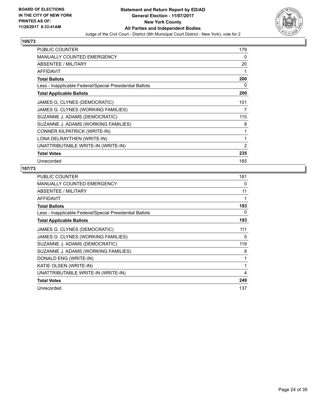

| <b>PUBLIC COUNTER</b>                                    | 179 |
|----------------------------------------------------------|-----|
| <b>MANUALLY COUNTED EMERGENCY</b>                        | 0   |
| ABSENTEE / MILITARY                                      | 20  |
| <b>AFFIDAVIT</b>                                         | 1   |
| <b>Total Ballots</b>                                     | 200 |
| Less - Inapplicable Federal/Special Presidential Ballots | 0   |
| <b>Total Applicable Ballots</b>                          | 200 |
| JAMES G. CLYNES (DEMOCRATIC)                             | 101 |
| JAMES G. CLYNES (WORKING FAMILIES)                       | 7   |
| SUZANNE J. ADAMS (DEMOCRATIC)                            | 115 |
| SUZANNE J. ADAMS (WORKING FAMILIES)                      | 8   |
| CONNER KILPATRICK (WRITE-IN)                             | 1   |
| LONA DELRAYTHEN (WRITE-IN)                               | 1   |
| UNATTRIBUTABLE WRITE-IN (WRITE-IN)                       | 2   |
| <b>Total Votes</b>                                       | 235 |
| Unrecorded                                               | 165 |

| <b>PUBLIC COUNTER</b>                                    | 181 |
|----------------------------------------------------------|-----|
| <b>MANUALLY COUNTED EMERGENCY</b>                        | 0   |
| ABSENTEE / MILITARY                                      | 11  |
| AFFIDAVIT                                                |     |
| <b>Total Ballots</b>                                     | 193 |
| Less - Inapplicable Federal/Special Presidential Ballots | 0   |
| <b>Total Applicable Ballots</b>                          | 193 |
| JAMES G. CLYNES (DEMOCRATIC)                             | 111 |
| JAMES G. CLYNES (WORKING FAMILIES)                       | 5   |
| SUZANNE J. ADAMS (DEMOCRATIC)                            | 119 |
| SUZANNE J. ADAMS (WORKING FAMILIES)                      | 8   |
| DONALD ENG (WRITE-IN)                                    |     |
| KATIE OLSEN (WRITE-IN)                                   | 1   |
| UNATTRIBUTABLE WRITE-IN (WRITE-IN)                       | 4   |
| <b>Total Votes</b>                                       | 249 |
| Unrecorded                                               | 137 |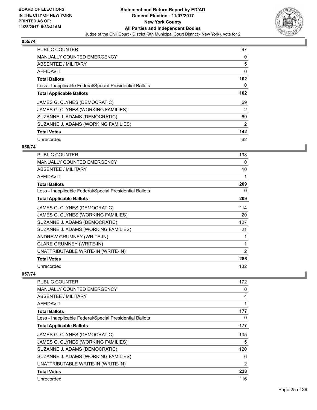

| <b>PUBLIC COUNTER</b>                                    | 97             |
|----------------------------------------------------------|----------------|
| <b>MANUALLY COUNTED EMERGENCY</b>                        | 0              |
| ABSENTEE / MILITARY                                      | 5              |
| <b>AFFIDAVIT</b>                                         | 0              |
| <b>Total Ballots</b>                                     | 102            |
| Less - Inapplicable Federal/Special Presidential Ballots | 0              |
| <b>Total Applicable Ballots</b>                          | 102            |
| JAMES G. CLYNES (DEMOCRATIC)                             | 69             |
| JAMES G. CLYNES (WORKING FAMILIES)                       | $\overline{2}$ |
| SUZANNE J. ADAMS (DEMOCRATIC)                            | 69             |
| SUZANNE J. ADAMS (WORKING FAMILIES)                      | 2              |
| <b>Total Votes</b>                                       | 142            |
| Unrecorded                                               | 62             |

## **056/74**

| <b>PUBLIC COUNTER</b>                                    | 198            |
|----------------------------------------------------------|----------------|
| <b>MANUALLY COUNTED EMERGENCY</b>                        | 0              |
| ABSENTEE / MILITARY                                      | 10             |
| <b>AFFIDAVIT</b>                                         | 1              |
| <b>Total Ballots</b>                                     | 209            |
| Less - Inapplicable Federal/Special Presidential Ballots | 0              |
| <b>Total Applicable Ballots</b>                          | 209            |
| JAMES G. CLYNES (DEMOCRATIC)                             | 114            |
| JAMES G. CLYNES (WORKING FAMILIES)                       | 20             |
| SUZANNE J. ADAMS (DEMOCRATIC)                            | 127            |
| SUZANNE J. ADAMS (WORKING FAMILIES)                      | 21             |
| ANDREW GRUMNEY (WRITE-IN)                                | 1              |
| <b>CLARE GRUMNEY (WRITE-IN)</b>                          | 1              |
| UNATTRIBUTABLE WRITE-IN (WRITE-IN)                       | $\overline{2}$ |
| <b>Total Votes</b>                                       | 286            |
| Unrecorded                                               | 132            |

| PUBLIC COUNTER                                           | 172            |
|----------------------------------------------------------|----------------|
| <b>MANUALLY COUNTED EMERGENCY</b>                        | 0              |
| ABSENTEE / MILITARY                                      | 4              |
| AFFIDAVIT                                                | 1              |
| <b>Total Ballots</b>                                     | 177            |
| Less - Inapplicable Federal/Special Presidential Ballots | 0              |
| <b>Total Applicable Ballots</b>                          | 177            |
| JAMES G. CLYNES (DEMOCRATIC)                             | 105            |
| JAMES G. CLYNES (WORKING FAMILIES)                       | 5              |
| SUZANNE J. ADAMS (DEMOCRATIC)                            | 120            |
| SUZANNE J. ADAMS (WORKING FAMILIES)                      | 6              |
| UNATTRIBUTABLE WRITE-IN (WRITE-IN)                       | $\overline{2}$ |
| <b>Total Votes</b>                                       | 238            |
| Unrecorded                                               | 116            |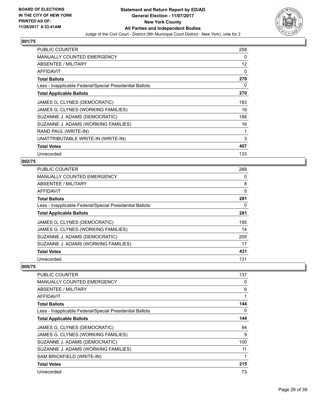

| <b>PUBLIC COUNTER</b>                                    | 258 |
|----------------------------------------------------------|-----|
| <b>MANUALLY COUNTED EMERGENCY</b>                        | 0   |
| ABSENTEE / MILITARY                                      | 12  |
| AFFIDAVIT                                                | 0   |
| <b>Total Ballots</b>                                     | 270 |
| Less - Inapplicable Federal/Special Presidential Ballots | 0   |
| <b>Total Applicable Ballots</b>                          | 270 |
| JAMES G. CLYNES (DEMOCRATIC)                             | 183 |
| JAMES G. CLYNES (WORKING FAMILIES)                       | 16  |
| SUZANNE J. ADAMS (DEMOCRATIC)                            | 188 |
| SUZANNE J. ADAMS (WORKING FAMILIES)                      | 16  |
| RAND PAUL (WRITE-IN)                                     | 1   |
| UNATTRIBUTABLE WRITE-IN (WRITE-IN)                       | 3   |
| <b>Total Votes</b>                                       | 407 |
| Unrecorded                                               | 133 |

# **002/75**

| <b>PUBLIC COUNTER</b>                                    | 268 |
|----------------------------------------------------------|-----|
| MANUALLY COUNTED EMERGENCY                               | 0   |
| ABSENTEE / MILITARY                                      | 8   |
| AFFIDAVIT                                                | 5   |
| <b>Total Ballots</b>                                     | 281 |
| Less - Inapplicable Federal/Special Presidential Ballots | 0   |
| <b>Total Applicable Ballots</b>                          | 281 |
| JAMES G. CLYNES (DEMOCRATIC)                             | 195 |
| JAMES G. CLYNES (WORKING FAMILIES)                       | 14  |
| SUZANNE J. ADAMS (DEMOCRATIC)                            | 205 |
| SUZANNE J. ADAMS (WORKING FAMILIES)                      | 17  |
| <b>Total Votes</b>                                       | 431 |
| Unrecorded                                               | 131 |

| <b>PUBLIC COUNTER</b>                                    | 137 |
|----------------------------------------------------------|-----|
| <b>MANUALLY COUNTED EMERGENCY</b>                        | 0   |
| ABSENTEE / MILITARY                                      | 6   |
| AFFIDAVIT                                                |     |
| <b>Total Ballots</b>                                     | 144 |
| Less - Inapplicable Federal/Special Presidential Ballots | 0   |
| <b>Total Applicable Ballots</b>                          | 144 |
| JAMES G. CLYNES (DEMOCRATIC)                             | 94  |
| JAMES G. CLYNES (WORKING FAMILIES)                       | 9   |
| SUZANNE J. ADAMS (DEMOCRATIC)                            | 100 |
| SUZANNE J. ADAMS (WORKING FAMILIES)                      | 11  |
| SAM BRICKFIELD (WRITE-IN)                                |     |
| <b>Total Votes</b>                                       | 215 |
| Unrecorded                                               | 73  |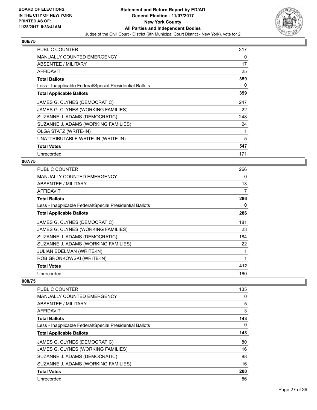

| <b>PUBLIC COUNTER</b>                                    | 317 |
|----------------------------------------------------------|-----|
| <b>MANUALLY COUNTED EMERGENCY</b>                        | 0   |
| ABSENTEE / MILITARY                                      | 17  |
| AFFIDAVIT                                                | 25  |
| <b>Total Ballots</b>                                     | 359 |
| Less - Inapplicable Federal/Special Presidential Ballots | 0   |
| <b>Total Applicable Ballots</b>                          | 359 |
| JAMES G. CLYNES (DEMOCRATIC)                             | 247 |
| JAMES G. CLYNES (WORKING FAMILIES)                       | 22  |
| SUZANNE J. ADAMS (DEMOCRATIC)                            | 248 |
| SUZANNE J. ADAMS (WORKING FAMILIES)                      | 24  |
| <b>OLGA STATZ (WRITE-IN)</b>                             | 1   |
| UNATTRIBUTABLE WRITE-IN (WRITE-IN)                       | 5   |
| <b>Total Votes</b>                                       | 547 |
| Unrecorded                                               | 171 |

# **007/75**

| <b>MANUALLY COUNTED EMERGENCY</b><br>ABSENTEE / MILITARY<br>AFFIDAVIT<br><b>Total Ballots</b><br>Less - Inapplicable Federal/Special Presidential Ballots<br><b>Total Applicable Ballots</b><br>JAMES G. CLYNES (DEMOCRATIC)<br>JAMES G. CLYNES (WORKING FAMILIES)<br>SUZANNE J. ADAMS (DEMOCRATIC)<br>SUZANNE J. ADAMS (WORKING FAMILIES)<br><b>JULIAN EDELMAN (WRITE-IN)</b><br>ROB GRONKOWSKI (WRITE-IN)<br><b>Total Votes</b> | <b>PUBLIC COUNTER</b> | 266 |
|-----------------------------------------------------------------------------------------------------------------------------------------------------------------------------------------------------------------------------------------------------------------------------------------------------------------------------------------------------------------------------------------------------------------------------------|-----------------------|-----|
|                                                                                                                                                                                                                                                                                                                                                                                                                                   |                       | 0   |
|                                                                                                                                                                                                                                                                                                                                                                                                                                   |                       | 13  |
|                                                                                                                                                                                                                                                                                                                                                                                                                                   |                       | 7   |
|                                                                                                                                                                                                                                                                                                                                                                                                                                   |                       | 286 |
|                                                                                                                                                                                                                                                                                                                                                                                                                                   |                       | 0   |
|                                                                                                                                                                                                                                                                                                                                                                                                                                   |                       | 286 |
|                                                                                                                                                                                                                                                                                                                                                                                                                                   |                       | 181 |
|                                                                                                                                                                                                                                                                                                                                                                                                                                   |                       | 23  |
|                                                                                                                                                                                                                                                                                                                                                                                                                                   |                       | 184 |
|                                                                                                                                                                                                                                                                                                                                                                                                                                   |                       | 22  |
|                                                                                                                                                                                                                                                                                                                                                                                                                                   |                       |     |
|                                                                                                                                                                                                                                                                                                                                                                                                                                   |                       | 1   |
|                                                                                                                                                                                                                                                                                                                                                                                                                                   |                       | 412 |
| Unrecorded                                                                                                                                                                                                                                                                                                                                                                                                                        |                       | 160 |

| <b>PUBLIC COUNTER</b>                                    | 135 |
|----------------------------------------------------------|-----|
| <b>MANUALLY COUNTED EMERGENCY</b>                        | 0   |
| ABSENTEE / MILITARY                                      | 5   |
| AFFIDAVIT                                                | 3   |
| <b>Total Ballots</b>                                     | 143 |
| Less - Inapplicable Federal/Special Presidential Ballots | 0   |
| <b>Total Applicable Ballots</b>                          | 143 |
| JAMES G. CLYNES (DEMOCRATIC)                             | 80  |
| JAMES G. CLYNES (WORKING FAMILIES)                       | 16  |
| SUZANNE J. ADAMS (DEMOCRATIC)                            | 88  |
| SUZANNE J. ADAMS (WORKING FAMILIES)                      | 16  |
| <b>Total Votes</b>                                       | 200 |
| Unrecorded                                               | 86  |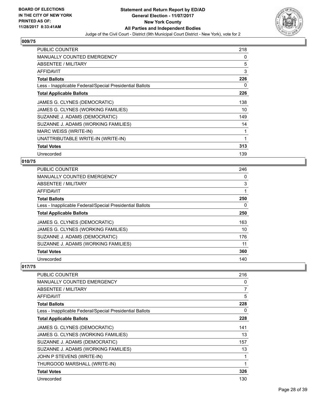

| <b>PUBLIC COUNTER</b>                                    | 218 |
|----------------------------------------------------------|-----|
| <b>MANUALLY COUNTED EMERGENCY</b>                        | 0   |
| ABSENTEE / MILITARY                                      | 5   |
| AFFIDAVIT                                                | 3   |
| <b>Total Ballots</b>                                     | 226 |
| Less - Inapplicable Federal/Special Presidential Ballots | 0   |
| <b>Total Applicable Ballots</b>                          | 226 |
| JAMES G. CLYNES (DEMOCRATIC)                             | 138 |
| JAMES G. CLYNES (WORKING FAMILIES)                       | 10  |
| SUZANNE J. ADAMS (DEMOCRATIC)                            | 149 |
| SUZANNE J. ADAMS (WORKING FAMILIES)                      | 14  |
| MARC WEISS (WRITE-IN)                                    | 1   |
| UNATTRIBUTABLE WRITE-IN (WRITE-IN)                       | 1   |
| <b>Total Votes</b>                                       | 313 |
| Unrecorded                                               | 139 |

# **010/75**

| PUBLIC COUNTER                                           | 246 |
|----------------------------------------------------------|-----|
| <b>MANUALLY COUNTED EMERGENCY</b>                        | 0   |
| ABSENTEE / MILITARY                                      | 3   |
| AFFIDAVIT                                                |     |
| <b>Total Ballots</b>                                     | 250 |
| Less - Inapplicable Federal/Special Presidential Ballots | 0   |
| <b>Total Applicable Ballots</b>                          | 250 |
| JAMES G. CLYNES (DEMOCRATIC)                             | 163 |
| JAMES G. CLYNES (WORKING FAMILIES)                       | 10  |
| SUZANNE J. ADAMS (DEMOCRATIC)                            | 176 |
| SUZANNE J. ADAMS (WORKING FAMILIES)                      | 11  |
| <b>Total Votes</b>                                       | 360 |
| Unrecorded                                               | 140 |

| PUBLIC COUNTER                                           | 216 |
|----------------------------------------------------------|-----|
| <b>MANUALLY COUNTED EMERGENCY</b>                        | 0   |
| ABSENTEE / MILITARY                                      | 7   |
| AFFIDAVIT                                                | 5   |
| <b>Total Ballots</b>                                     | 228 |
| Less - Inapplicable Federal/Special Presidential Ballots | 0   |
| <b>Total Applicable Ballots</b>                          | 228 |
| JAMES G. CLYNES (DEMOCRATIC)                             | 141 |
| JAMES G. CLYNES (WORKING FAMILIES)                       | 13  |
| SUZANNE J. ADAMS (DEMOCRATIC)                            | 157 |
| SUZANNE J. ADAMS (WORKING FAMILIES)                      | 13  |
| JOHN P STEVENS (WRITE-IN)                                | 1   |
| THURGOOD MARSHALL (WRITE-IN)                             | 1   |
| <b>Total Votes</b>                                       | 326 |
| Unrecorded                                               | 130 |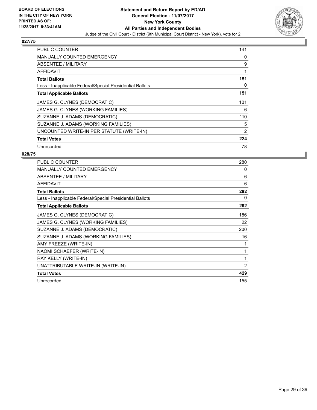

| <b>PUBLIC COUNTER</b>                                    | 141 |
|----------------------------------------------------------|-----|
| <b>MANUALLY COUNTED EMERGENCY</b>                        | 0   |
| <b>ABSENTEE / MILITARY</b>                               | 9   |
| AFFIDAVIT                                                | 1   |
| <b>Total Ballots</b>                                     | 151 |
| Less - Inapplicable Federal/Special Presidential Ballots | 0   |
| <b>Total Applicable Ballots</b>                          | 151 |
| JAMES G. CLYNES (DEMOCRATIC)                             | 101 |
| JAMES G. CLYNES (WORKING FAMILIES)                       | 6   |
| SUZANNE J. ADAMS (DEMOCRATIC)                            | 110 |
| SUZANNE J. ADAMS (WORKING FAMILIES)                      | 5   |
| UNCOUNTED WRITE-IN PER STATUTE (WRITE-IN)                | 2   |
| <b>Total Votes</b>                                       | 224 |
| Unrecorded                                               | 78  |

| <b>PUBLIC COUNTER</b>                                    | 280            |
|----------------------------------------------------------|----------------|
| MANUALLY COUNTED EMERGENCY                               | 0              |
| ABSENTEE / MILITARY                                      | 6              |
| <b>AFFIDAVIT</b>                                         | 6              |
| <b>Total Ballots</b>                                     | 292            |
| Less - Inapplicable Federal/Special Presidential Ballots | 0              |
| <b>Total Applicable Ballots</b>                          | 292            |
| JAMES G. CLYNES (DEMOCRATIC)                             | 186            |
| JAMES G. CLYNES (WORKING FAMILIES)                       | 22             |
| SUZANNE J. ADAMS (DEMOCRATIC)                            | 200            |
| SUZANNE J. ADAMS (WORKING FAMILIES)                      | 16             |
| AMY FREEZE (WRITE-IN)                                    | 1              |
| NAOMI SCHAEFER (WRITE-IN)                                | 1              |
| RAY KELLY (WRITE-IN)                                     | 1              |
| UNATTRIBUTABLE WRITE-IN (WRITE-IN)                       | $\overline{2}$ |
| <b>Total Votes</b>                                       | 429            |
| Unrecorded                                               | 155            |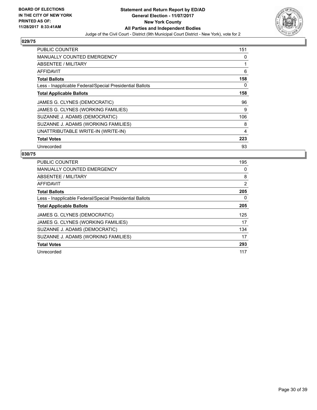

| <b>PUBLIC COUNTER</b>                                    | 151 |
|----------------------------------------------------------|-----|
| <b>MANUALLY COUNTED EMERGENCY</b>                        | 0   |
| <b>ABSENTEE / MILITARY</b>                               |     |
| <b>AFFIDAVIT</b>                                         | 6   |
| <b>Total Ballots</b>                                     | 158 |
| Less - Inapplicable Federal/Special Presidential Ballots | 0   |
| <b>Total Applicable Ballots</b>                          | 158 |
| JAMES G. CLYNES (DEMOCRATIC)                             | 96  |
| JAMES G. CLYNES (WORKING FAMILIES)                       | 9   |
| SUZANNE J. ADAMS (DEMOCRATIC)                            | 106 |
| SUZANNE J. ADAMS (WORKING FAMILIES)                      | 8   |
| UNATTRIBUTABLE WRITE-IN (WRITE-IN)                       | 4   |
| <b>Total Votes</b>                                       | 223 |
| Unrecorded                                               | 93  |

| <b>PUBLIC COUNTER</b>                                    | 195 |
|----------------------------------------------------------|-----|
| MANUALLY COUNTED EMERGENCY                               | 0   |
| ABSENTEE / MILITARY                                      | 8   |
| AFFIDAVIT                                                | 2   |
| <b>Total Ballots</b>                                     | 205 |
| Less - Inapplicable Federal/Special Presidential Ballots | 0   |
| <b>Total Applicable Ballots</b>                          | 205 |
| JAMES G. CLYNES (DEMOCRATIC)                             | 125 |
| JAMES G. CLYNES (WORKING FAMILIES)                       | 17  |
| SUZANNE J. ADAMS (DEMOCRATIC)                            | 134 |
| SUZANNE J. ADAMS (WORKING FAMILIES)                      | 17  |
| <b>Total Votes</b>                                       | 293 |
| Unrecorded                                               | 117 |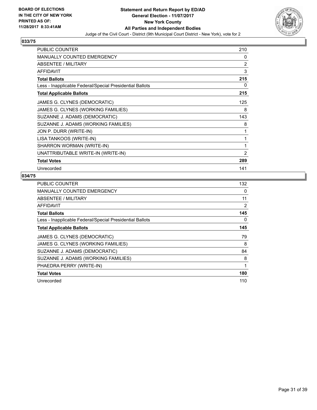

| <b>PUBLIC COUNTER</b>                                    | 210            |
|----------------------------------------------------------|----------------|
| <b>MANUALLY COUNTED EMERGENCY</b>                        | 0              |
| <b>ABSENTEE / MILITARY</b>                               | 2              |
| <b>AFFIDAVIT</b>                                         | 3              |
| <b>Total Ballots</b>                                     | 215            |
| Less - Inapplicable Federal/Special Presidential Ballots | 0              |
| <b>Total Applicable Ballots</b>                          | 215            |
| JAMES G. CLYNES (DEMOCRATIC)                             | 125            |
| JAMES G. CLYNES (WORKING FAMILIES)                       | 8              |
| SUZANNE J. ADAMS (DEMOCRATIC)                            | 143            |
| SUZANNE J. ADAMS (WORKING FAMILIES)                      | 8              |
| JON P. DURR (WRITE-IN)                                   | 1              |
| LISA TANKOOS (WRITE-IN)                                  | 1              |
| SHARRON WORMAN (WRITE-IN)                                | 1              |
| UNATTRIBUTABLE WRITE-IN (WRITE-IN)                       | $\overline{2}$ |
| <b>Total Votes</b>                                       | 289            |
| Unrecorded                                               | 141            |

| PUBLIC COUNTER                                           | 132 |
|----------------------------------------------------------|-----|
| <b>MANUALLY COUNTED EMERGENCY</b>                        | 0   |
| ABSENTEE / MILITARY                                      | 11  |
| AFFIDAVIT                                                | 2   |
| <b>Total Ballots</b>                                     | 145 |
| Less - Inapplicable Federal/Special Presidential Ballots | 0   |
| <b>Total Applicable Ballots</b>                          | 145 |
| JAMES G. CLYNES (DEMOCRATIC)                             | 79  |
| JAMES G. CLYNES (WORKING FAMILIES)                       | 8   |
| SUZANNE J. ADAMS (DEMOCRATIC)                            | 84  |
| SUZANNE J. ADAMS (WORKING FAMILIES)                      | 8   |
| PHAEDRA PERRY (WRITE-IN)                                 | 1   |
| <b>Total Votes</b>                                       | 180 |
| Unrecorded                                               | 110 |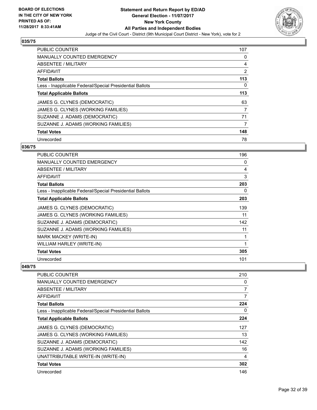

| <b>PUBLIC COUNTER</b>                                    | 107 |
|----------------------------------------------------------|-----|
| <b>MANUALLY COUNTED EMERGENCY</b>                        | 0   |
| ABSENTEE / MILITARY                                      | 4   |
| <b>AFFIDAVIT</b>                                         | 2   |
| <b>Total Ballots</b>                                     | 113 |
| Less - Inapplicable Federal/Special Presidential Ballots | 0   |
| <b>Total Applicable Ballots</b>                          | 113 |
| JAMES G. CLYNES (DEMOCRATIC)                             | 63  |
| JAMES G. CLYNES (WORKING FAMILIES)                       | 7   |
| SUZANNE J. ADAMS (DEMOCRATIC)                            | 71  |
| SUZANNE J. ADAMS (WORKING FAMILIES)                      | 7   |
| <b>Total Votes</b>                                       | 148 |
| Unrecorded                                               | 78  |

# **036/75**

| <b>PUBLIC COUNTER</b>                                    | 196          |
|----------------------------------------------------------|--------------|
| <b>MANUALLY COUNTED EMERGENCY</b>                        | 0            |
| <b>ABSENTEE / MILITARY</b>                               | 4            |
| <b>AFFIDAVIT</b>                                         | 3            |
| <b>Total Ballots</b>                                     | 203          |
| Less - Inapplicable Federal/Special Presidential Ballots | 0            |
| <b>Total Applicable Ballots</b>                          | 203          |
| JAMES G. CLYNES (DEMOCRATIC)                             | 139          |
| JAMES G. CLYNES (WORKING FAMILIES)                       | 11           |
| SUZANNE J. ADAMS (DEMOCRATIC)                            | 142          |
| SUZANNE J. ADAMS (WORKING FAMILIES)                      | 11           |
| <b>MARK MACKEY (WRITE-IN)</b>                            | $\mathbf{1}$ |
| WILLIAM HARLEY (WRITE-IN)                                | 1            |
| <b>Total Votes</b>                                       | 305          |
| Unrecorded                                               | 101          |

| <b>PUBLIC COUNTER</b>                                    | 210 |
|----------------------------------------------------------|-----|
| <b>MANUALLY COUNTED EMERGENCY</b>                        | 0   |
| <b>ABSENTEE / MILITARY</b>                               | 7   |
| AFFIDAVIT                                                | 7   |
| <b>Total Ballots</b>                                     | 224 |
| Less - Inapplicable Federal/Special Presidential Ballots | 0   |
| <b>Total Applicable Ballots</b>                          | 224 |
| JAMES G. CLYNES (DEMOCRATIC)                             | 127 |
| JAMES G. CLYNES (WORKING FAMILIES)                       | 13  |
| SUZANNE J. ADAMS (DEMOCRATIC)                            | 142 |
| SUZANNE J. ADAMS (WORKING FAMILIES)                      | 16  |
| UNATTRIBUTABLE WRITE-IN (WRITE-IN)                       | 4   |
| <b>Total Votes</b>                                       | 302 |
| Unrecorded                                               | 146 |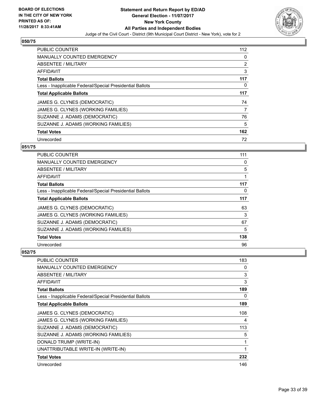

| <b>PUBLIC COUNTER</b>                                    | 112 |
|----------------------------------------------------------|-----|
| <b>MANUALLY COUNTED EMERGENCY</b>                        | 0   |
| ABSENTEE / MILITARY                                      | 2   |
| <b>AFFIDAVIT</b>                                         | 3   |
| <b>Total Ballots</b>                                     | 117 |
| Less - Inapplicable Federal/Special Presidential Ballots | 0   |
| <b>Total Applicable Ballots</b>                          | 117 |
| JAMES G. CLYNES (DEMOCRATIC)                             | 74  |
| JAMES G. CLYNES (WORKING FAMILIES)                       | 7   |
| SUZANNE J. ADAMS (DEMOCRATIC)                            | 76  |
| SUZANNE J. ADAMS (WORKING FAMILIES)                      | 5   |
| <b>Total Votes</b>                                       | 162 |
| Unrecorded                                               | 72  |

# **051/75**

| <b>PUBLIC COUNTER</b>                                    | 111 |
|----------------------------------------------------------|-----|
| MANUALLY COUNTED EMERGENCY                               | 0   |
| ABSENTEE / MILITARY                                      | 5   |
| AFFIDAVIT                                                |     |
| <b>Total Ballots</b>                                     | 117 |
| Less - Inapplicable Federal/Special Presidential Ballots | 0   |
| <b>Total Applicable Ballots</b>                          | 117 |
| JAMES G. CLYNES (DEMOCRATIC)                             | 63  |
| JAMES G. CLYNES (WORKING FAMILIES)                       | 3   |
| SUZANNE J. ADAMS (DEMOCRATIC)                            | 67  |
| SUZANNE J. ADAMS (WORKING FAMILIES)                      | 5   |
| <b>Total Votes</b>                                       | 138 |
| Unrecorded                                               | 96  |

| <b>PUBLIC COUNTER</b>                                    | 183 |
|----------------------------------------------------------|-----|
| <b>MANUALLY COUNTED EMERGENCY</b>                        | 0   |
| ABSENTEE / MILITARY                                      | 3   |
| AFFIDAVIT                                                | 3   |
| <b>Total Ballots</b>                                     | 189 |
| Less - Inapplicable Federal/Special Presidential Ballots | 0   |
| <b>Total Applicable Ballots</b>                          | 189 |
| JAMES G. CLYNES (DEMOCRATIC)                             | 108 |
| JAMES G. CLYNES (WORKING FAMILIES)                       | 4   |
| SUZANNE J. ADAMS (DEMOCRATIC)                            | 113 |
| SUZANNE J. ADAMS (WORKING FAMILIES)                      | 5   |
| DONALD TRUMP (WRITE-IN)                                  | 1   |
| UNATTRIBUTABLE WRITE-IN (WRITE-IN)                       | 1   |
| <b>Total Votes</b>                                       | 232 |
| Unrecorded                                               | 146 |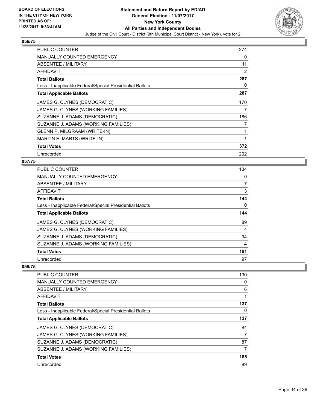

| PUBLIC COUNTER                                           | 274 |
|----------------------------------------------------------|-----|
| <b>MANUALLY COUNTED EMERGENCY</b>                        | 0   |
| ABSENTEE / MILITARY                                      | 11  |
| AFFIDAVIT                                                | 2   |
| <b>Total Ballots</b>                                     | 287 |
| Less - Inapplicable Federal/Special Presidential Ballots | 0   |
| <b>Total Applicable Ballots</b>                          | 287 |
| JAMES G. CLYNES (DEMOCRATIC)                             | 170 |
| JAMES G. CLYNES (WORKING FAMILIES)                       | 7   |
| SUZANNE J. ADAMS (DEMOCRATIC)                            | 186 |
| SUZANNE J. ADAMS (WORKING FAMILIES)                      | 7   |
| GLENN P. MILGRAAM (WRITE-IN)                             | 1   |
| MARTIN E. MARTS (WRITE-IN)                               | 1   |
| <b>Total Votes</b>                                       | 372 |
| Unrecorded                                               | 202 |

# **057/75**

| PUBLIC COUNTER                                           | 134            |
|----------------------------------------------------------|----------------|
| <b>MANUALLY COUNTED EMERGENCY</b>                        | 0              |
| ABSENTEE / MILITARY                                      | $\overline{7}$ |
| <b>AFFIDAVIT</b>                                         | 3              |
| <b>Total Ballots</b>                                     | 144            |
| Less - Inapplicable Federal/Special Presidential Ballots | 0              |
| <b>Total Applicable Ballots</b>                          | 144            |
| JAMES G. CLYNES (DEMOCRATIC)                             | 89             |
| JAMES G. CLYNES (WORKING FAMILIES)                       | 4              |
| SUZANNE J. ADAMS (DEMOCRATIC)                            | 94             |
| SUZANNE J. ADAMS (WORKING FAMILIES)                      | 4              |
| <b>Total Votes</b>                                       | 191            |
| Unrecorded                                               | 97             |

| <b>PUBLIC COUNTER</b>                                    | 130 |
|----------------------------------------------------------|-----|
| <b>MANUALLY COUNTED EMERGENCY</b>                        | 0   |
| ABSENTEE / MILITARY                                      | 6   |
| AFFIDAVIT                                                |     |
| <b>Total Ballots</b>                                     | 137 |
| Less - Inapplicable Federal/Special Presidential Ballots | 0   |
| <b>Total Applicable Ballots</b>                          | 137 |
| JAMES G. CLYNES (DEMOCRATIC)                             | 84  |
| JAMES G. CLYNES (WORKING FAMILIES)                       | 7   |
| SUZANNE J. ADAMS (DEMOCRATIC)                            | 87  |
| SUZANNE J. ADAMS (WORKING FAMILIES)                      | 7   |
| <b>Total Votes</b>                                       | 185 |
| Unrecorded                                               | 89  |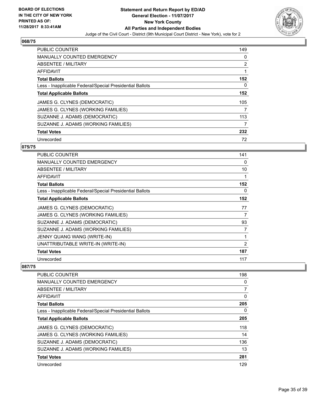

| <b>PUBLIC COUNTER</b>                                    | 149 |
|----------------------------------------------------------|-----|
| <b>MANUALLY COUNTED EMERGENCY</b>                        | 0   |
| ABSENTEE / MILITARY                                      | 2   |
| <b>AFFIDAVIT</b>                                         | 1   |
| <b>Total Ballots</b>                                     | 152 |
| Less - Inapplicable Federal/Special Presidential Ballots | 0   |
| <b>Total Applicable Ballots</b>                          | 152 |
| JAMES G. CLYNES (DEMOCRATIC)                             | 105 |
| JAMES G. CLYNES (WORKING FAMILIES)                       | 7   |
| SUZANNE J. ADAMS (DEMOCRATIC)                            | 113 |
| SUZANNE J. ADAMS (WORKING FAMILIES)                      | 7   |
| <b>Total Votes</b>                                       | 232 |
| Unrecorded                                               | 72  |

# **075/75**

| <b>PUBLIC COUNTER</b>                                    | 141 |
|----------------------------------------------------------|-----|
| <b>MANUALLY COUNTED EMERGENCY</b>                        | 0   |
| <b>ABSENTEE / MILITARY</b>                               | 10  |
| <b>AFFIDAVIT</b>                                         | 1   |
| <b>Total Ballots</b>                                     | 152 |
| Less - Inapplicable Federal/Special Presidential Ballots | 0   |
| <b>Total Applicable Ballots</b>                          | 152 |
| JAMES G. CLYNES (DEMOCRATIC)                             | 77  |
| JAMES G. CLYNES (WORKING FAMILIES)                       | 7   |
| SUZANNE J. ADAMS (DEMOCRATIC)                            | 93  |
| SUZANNE J. ADAMS (WORKING FAMILIES)                      | 7   |
| JENNY QUANG WANG (WRITE-IN)                              | 1   |
| UNATTRIBUTABLE WRITE-IN (WRITE-IN)                       | 2   |
| <b>Total Votes</b>                                       | 187 |
| Unrecorded                                               | 117 |

| PUBLIC COUNTER                                           | 198 |
|----------------------------------------------------------|-----|
| MANUALLY COUNTED EMERGENCY                               | 0   |
| ABSENTEE / MILITARY                                      | 7   |
| AFFIDAVIT                                                | 0   |
| <b>Total Ballots</b>                                     | 205 |
| Less - Inapplicable Federal/Special Presidential Ballots | 0   |
| <b>Total Applicable Ballots</b>                          | 205 |
| JAMES G. CLYNES (DEMOCRATIC)                             | 118 |
| JAMES G. CLYNES (WORKING FAMILIES)                       | 14  |
| SUZANNE J. ADAMS (DEMOCRATIC)                            | 136 |
| SUZANNE J. ADAMS (WORKING FAMILIES)                      | 13  |
| <b>Total Votes</b>                                       | 281 |
| Unrecorded                                               | 129 |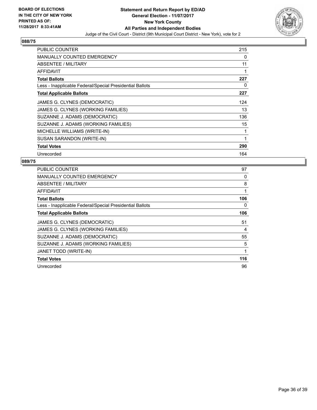

| <b>PUBLIC COUNTER</b>                                    | 215 |
|----------------------------------------------------------|-----|
| <b>MANUALLY COUNTED EMERGENCY</b>                        | 0   |
| <b>ABSENTEE / MILITARY</b>                               | 11  |
| AFFIDAVIT                                                |     |
| <b>Total Ballots</b>                                     | 227 |
| Less - Inapplicable Federal/Special Presidential Ballots | 0   |
| <b>Total Applicable Ballots</b>                          | 227 |
| JAMES G. CLYNES (DEMOCRATIC)                             | 124 |
| JAMES G. CLYNES (WORKING FAMILIES)                       | 13  |
| SUZANNE J. ADAMS (DEMOCRATIC)                            | 136 |
| SUZANNE J. ADAMS (WORKING FAMILIES)                      | 15  |
| MICHELLE WILLIAMS (WRITE-IN)                             | 1   |
| SUSAN SARANDON (WRITE-IN)                                | 1   |
| <b>Total Votes</b>                                       | 290 |
| Unrecorded                                               | 164 |

| <b>PUBLIC COUNTER</b>                                    | 97  |
|----------------------------------------------------------|-----|
| <b>MANUALLY COUNTED EMERGENCY</b>                        | 0   |
| ABSENTEE / MILITARY                                      | 8   |
| AFFIDAVIT                                                |     |
| <b>Total Ballots</b>                                     | 106 |
| Less - Inapplicable Federal/Special Presidential Ballots | 0   |
| <b>Total Applicable Ballots</b>                          | 106 |
| JAMES G. CLYNES (DEMOCRATIC)                             | 51  |
| JAMES G. CLYNES (WORKING FAMILIES)                       | 4   |
| SUZANNE J. ADAMS (DEMOCRATIC)                            | 55  |
|                                                          |     |
| SUZANNE J. ADAMS (WORKING FAMILIES)                      | 5   |
| JANET TODD (WRITE-IN)                                    |     |
| <b>Total Votes</b>                                       | 116 |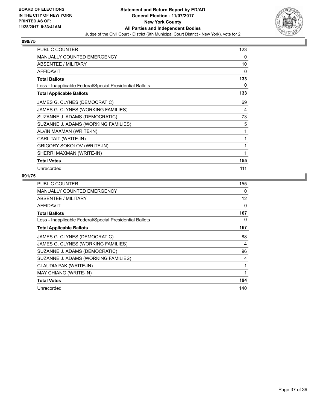

| <b>PUBLIC COUNTER</b>                                    | 123 |
|----------------------------------------------------------|-----|
| <b>MANUALLY COUNTED EMERGENCY</b>                        | 0   |
| <b>ABSENTEE / MILITARY</b>                               | 10  |
| <b>AFFIDAVIT</b>                                         | 0   |
| <b>Total Ballots</b>                                     | 133 |
| Less - Inapplicable Federal/Special Presidential Ballots | 0   |
| <b>Total Applicable Ballots</b>                          | 133 |
| JAMES G. CLYNES (DEMOCRATIC)                             | 69  |
| JAMES G. CLYNES (WORKING FAMILIES)                       | 4   |
| SUZANNE J. ADAMS (DEMOCRATIC)                            | 73  |
| SUZANNE J. ADAMS (WORKING FAMILIES)                      | 5   |
| ALVIN MAXMAN (WRITE-IN)                                  | 1   |
| CARL TAIT (WRITE-IN)                                     | 1   |
| <b>GRIGORY SOKOLOV (WRITE-IN)</b>                        | 1   |
| SHERRI MAXMAN (WRITE-IN)                                 | 1   |
| <b>Total Votes</b>                                       | 155 |
| Unrecorded                                               | 111 |

| <b>PUBLIC COUNTER</b>                                    | 155 |
|----------------------------------------------------------|-----|
| <b>MANUALLY COUNTED EMERGENCY</b>                        | 0   |
| <b>ABSENTEE / MILITARY</b>                               | 12  |
| AFFIDAVIT                                                | 0   |
| <b>Total Ballots</b>                                     | 167 |
| Less - Inapplicable Federal/Special Presidential Ballots | 0   |
| <b>Total Applicable Ballots</b>                          | 167 |
| JAMES G. CLYNES (DEMOCRATIC)                             | 88  |
| JAMES G. CLYNES (WORKING FAMILIES)                       | 4   |
| SUZANNE J. ADAMS (DEMOCRATIC)                            | 96  |
| SUZANNE J. ADAMS (WORKING FAMILIES)                      | 4   |
| CLAUDIA PAK (WRITE-IN)                                   | 1   |
| MAY CHIANG (WRITE-IN)                                    | 1   |
| <b>Total Votes</b>                                       | 194 |
| Unrecorded                                               | 140 |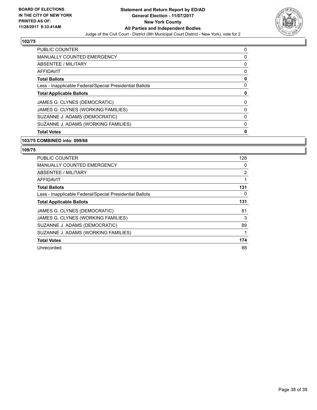

| <b>PUBLIC COUNTER</b>                                    | 0 |
|----------------------------------------------------------|---|
| <b>MANUALLY COUNTED EMERGENCY</b>                        | 0 |
| ABSENTEE / MILITARY                                      | 0 |
| <b>AFFIDAVIT</b>                                         | 0 |
| <b>Total Ballots</b>                                     | 0 |
| Less - Inapplicable Federal/Special Presidential Ballots | 0 |
| <b>Total Applicable Ballots</b>                          | 0 |
| JAMES G. CLYNES (DEMOCRATIC)                             | 0 |
| JAMES G. CLYNES (WORKING FAMILIES)                       | 0 |
| SUZANNE J. ADAMS (DEMOCRATIC)                            | 0 |
| SUZANNE J. ADAMS (WORKING FAMILIES)                      | 0 |
| <b>Total Votes</b>                                       | 0 |

# **103/75 COMBINED into: 099/68**

| <b>PUBLIC COUNTER</b>                                    | 128 |
|----------------------------------------------------------|-----|
| <b>MANUALLY COUNTED EMERGENCY</b>                        | 0   |
| ABSENTEE / MILITARY                                      | 2   |
| <b>AFFIDAVIT</b>                                         |     |
| <b>Total Ballots</b>                                     | 131 |
| Less - Inapplicable Federal/Special Presidential Ballots | 0   |
| <b>Total Applicable Ballots</b>                          | 131 |
| JAMES G. CLYNES (DEMOCRATIC)                             | 81  |
| JAMES G. CLYNES (WORKING FAMILIES)                       | 3   |
| SUZANNE J. ADAMS (DEMOCRATIC)                            | 89  |
| SUZANNE J. ADAMS (WORKING FAMILIES)                      | 1   |
| <b>Total Votes</b>                                       | 174 |
| Unrecorded                                               | 88  |